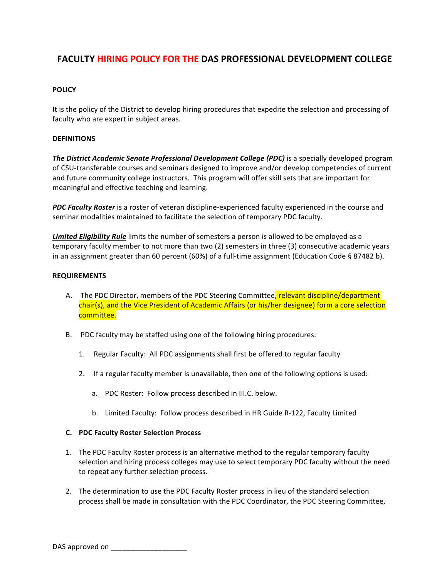# **FACULTY HIRING POLICY FOR THE DAS PROFESSIONAL DEVELOPMENT COLLEGE**

## **POLICY**

It is the policy of the District to develop hiring procedures that expedite the selection and processing of faculty who are expert in subject areas.

#### **DEFINITIONS**

**The District Academic Senate Professional Development College (PDC)** is a specially developed program of CSU-transferable courses and seminars designed to improve and/or develop competencies of current and future community college instructors. This program will offer skill sets that are important for meaningful and effective teaching and learning.

**PDC Faculty Roster** is a roster of veteran discipline-experienced faculty experienced in the course and seminar modalities maintained to facilitate the selection of temporary PDC faculty.

**Limited Eligibility Rule** limits the number of semesters a person is allowed to be employed as a temporary faculty member to not more than two (2) semesters in three (3) consecutive academic years in an assignment greater than 60 percent (60%) of a full-time assignment (Education Code § 87482 b).

#### **REQUIREMENTS**

- A. The PDC Director, members of the PDC Steering Committee<mark>, relevant discipline/department</mark> chair(s), and the Vice President of Academic Affairs (or his/her designee) form a core selection committee.
- B. PDC faculty may be staffed using one of the following hiring procedures:
	- 1. Regular Faculty: All PDC assignments shall first be offered to regular faculty
	- 2. If a regular faculty member is unavailable, then one of the following options is used:
		- a. PDC Roster: Follow process described in III.C. below.
		- b. Limited Faculty: Follow process described in HR Guide R-122, Faculty Limited

#### **C. PDC Faculty Roster Selection Process**

- 1. The PDC Faculty Roster process is an alternative method to the regular temporary faculty selection and hiring process colleges may use to select temporary PDC faculty without the need to repeat any further selection process.
- 2. The determination to use the PDC Faculty Roster process in lieu of the standard selection process shall be made in consultation with the PDC Coordinator, the PDC Steering Committee,